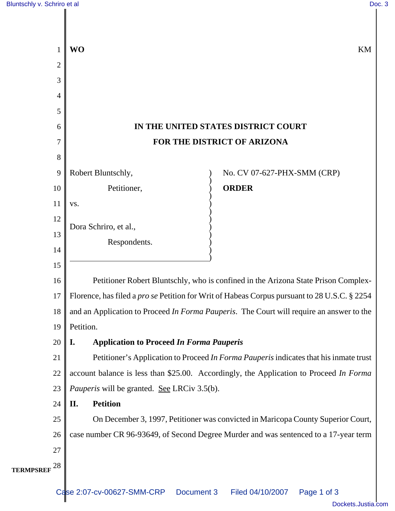| 1               | <b>WO</b><br>KM                                                                                     |
|-----------------|-----------------------------------------------------------------------------------------------------|
| $\overline{2}$  |                                                                                                     |
| 3               |                                                                                                     |
| 4               |                                                                                                     |
| 5               |                                                                                                     |
| 6               | IN THE UNITED STATES DISTRICT COURT                                                                 |
| 7               | FOR THE DISTRICT OF ARIZONA                                                                         |
| 8               |                                                                                                     |
| 9               | Robert Bluntschly,<br>No. CV 07-627-PHX-SMM (CRP)                                                   |
| 10              | <b>ORDER</b><br>Petitioner,                                                                         |
| 11              | VS.                                                                                                 |
| 12              | Dora Schriro, et al.,                                                                               |
| 13              | Respondents.                                                                                        |
| 14              |                                                                                                     |
| 15              |                                                                                                     |
| 16              | Petitioner Robert Bluntschly, who is confined in the Arizona State Prison Complex-                  |
| 17              | Florence, has filed a <i>pro se</i> Petition for Writ of Habeas Corpus pursuant to 28 U.S.C. § 2254 |
| 18              | and an Application to Proceed In Forma Pauperis. The Court will require an answer to the            |
| 19              | Petition.                                                                                           |
| 20              | <b>Application to Proceed In Forma Pauperis</b><br><b>I.</b>                                        |
| 21              | Petitioner's Application to Proceed In Forma Pauperis indicates that his inmate trust               |
| 22              | account balance is less than \$25.00. Accordingly, the Application to Proceed In Forma              |
| 23              | <i>Pauperis</i> will be granted. See LRCiv 3.5(b).                                                  |
| 24              | <b>Petition</b><br>II.                                                                              |
| 25              | On December 3, 1997, Petitioner was convicted in Maricopa County Superior Court,                    |
| 26              | case number CR 96-93649, of Second Degree Murder and was sentenced to a 17-year term                |
| 27              |                                                                                                     |
| 28<br>TERMPSREF |                                                                                                     |
|                 |                                                                                                     |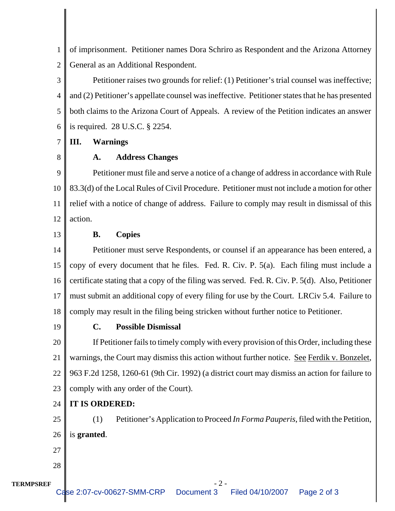1 2 of imprisonment. Petitioner names Dora Schriro as Respondent and the Arizona Attorney General as an Additional Respondent.

3 4 5 6 Petitioner raises two grounds for relief: (1) Petitioner's trial counsel was ineffective; and (2) Petitioner's appellate counsel was ineffective. Petitioner states that he has presented both claims to the Arizona Court of Appeals. A review of the Petition indicates an answer is required. 28 U.S.C. § 2254.

7 **III. Warnings**

8

## **A. Address Changes**

9 10 11 12 Petitioner must file and serve a notice of a change of address in accordance with Rule 83.3(d) of the Local Rules of Civil Procedure. Petitioner must not include a motion for other relief with a notice of change of address. Failure to comply may result in dismissal of this action.

13

## **B. Copies**

14 15 16 17 18 Petitioner must serve Respondents, or counsel if an appearance has been entered, a copy of every document that he files. Fed. R. Civ. P. 5(a). Each filing must include a certificate stating that a copy of the filing was served. Fed. R. Civ. P. 5(d). Also, Petitioner must submit an additional copy of every filing for use by the Court. LRCiv 5.4. Failure to comply may result in the filing being stricken without further notice to Petitioner.

19

## **C. Possible Dismissal**

20 21 22 23 If Petitioner fails to timely comply with every provision of this Order, including these warnings, the Court may dismiss this action without further notice. See Ferdik v. Bonzelet, 963 F.2d 1258, 1260-61 (9th Cir. 1992) (a district court may dismiss an action for failure to comply with any order of the Court).

## $24$ **IT IS ORDERED:**

25 26 (1) Petitioner's Application to Proceed *In Forma Pauperis*, filed with the Petition, is **granted**.

27 28